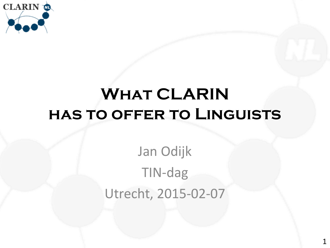

# **What CLARIN has to offer to Linguists**

# Jan Odijk TIN-dag Utrecht, 2015-02-07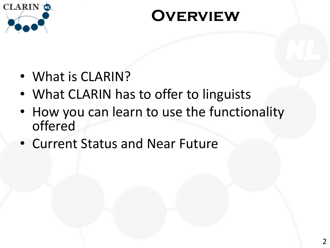

#### **Overview**

- What is CLARIN?
- What CLARIN has to offer to linguists
- How you can learn to use the functionality offered
- Current Status and Near Future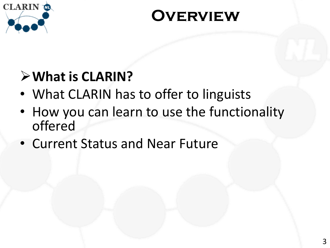

#### **Overview**

#### **What is CLARIN?**

- What CLARIN has to offer to linguists
- How you can learn to use the functionality offered
- Current Status and Near Future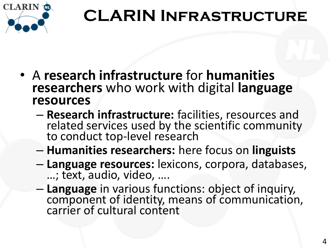

# **CLARIN Infrastructure**

- A **research infrastructure** for **humanities researchers** who work with digital **language resources**
	- **Research infrastructure:** facilities, resources and related services used by the scientific community to conduct top-level research
	- **Humanities researchers:** here focus on **linguists**
	- **Language resources:** lexicons, corpora, databases, …; text, audio, video, ….
	- **Language** in various functions: object of inquiry, component of identity, means of communication, carrier of cultural content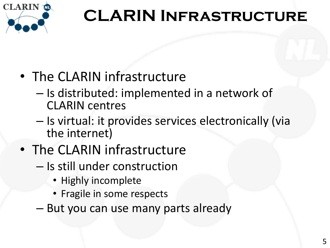

# **CLARIN Infrastructure**

- The CLARIN infrastructure
	- Is distributed: implemented in a network of CLARIN centres
	- Is virtual: it provides services electronically (via the internet)
- The CLARIN infrastructure
	- Is still under construction
		- Highly incomplete
		- Fragile in some respects
	- But you can use many parts already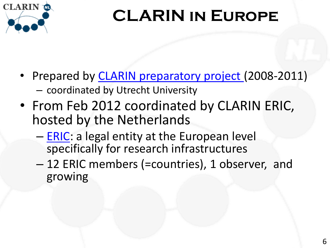

# **CLARIN in Europe**

- Prepared by **CLARIN** preparatory project (2008-2011) – coordinated by Utrecht University
- From Feb 2012 coordinated by CLARIN ERIC, hosted by the Netherlands
	- [ERIC:](http://ec.europa.eu/research/infrastructures/index_en.cfm?pg=eric) a legal entity at the European level specifically for research infrastructures
	- 12 ERIC members (=countries), 1 observer, and growing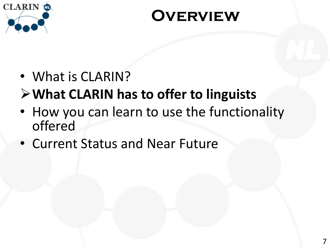

#### **Overview**

#### • What is CLARIN?

#### **What CLARIN has to offer to linguists**

- How you can learn to use the functionality offered
- Current Status and Near Future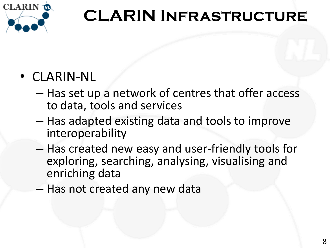

# **CLARIN Infrastructure**

#### • CLARIN-NL

- Has set up a network of centres that offer access to data, tools and services
- Has adapted existing data and tools to improve interoperability
- Has created new easy and user-friendly tools for exploring, searching, analysing, visualising and enriching data
- Has not created any new data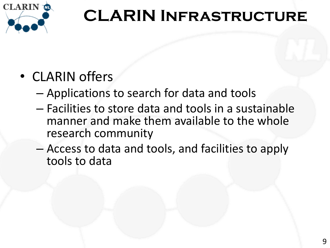

# **CLARIN Infrastructure**

#### • CLARIN offers

- Applications to search for data and tools
- Facilities to store data and tools in a sustainable manner and make them available to the whole research community
- Access to data and tools, and facilities to apply tools to data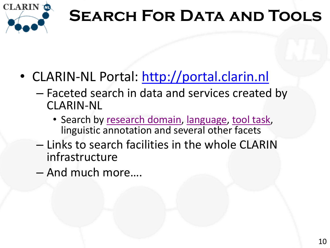

# **SEARCH FOR DATA AND TOOLS**

- <span id="page-9-0"></span>• CLARIN-NL Portal: [http://portal.clarin.nl](http://portal.clarin.nl/)
	- Faceted search in data and services created by CLARIN-NL
		- Search by [research domain,](#page-27-0) [language](#page-28-0), [tool task](#page-29-0), linguistic annotation and several other facets
	- Links to search facilities in the whole CLARIN infrastructure
	- And much more….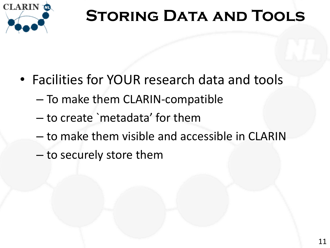

# **STORING DATA AND TOOLS**

- Facilities for YOUR research data and tools
	- To make them CLARIN-compatible
	- to create `metadata' for them
	- to make them visible and accessible in CLARIN
	- to securely store them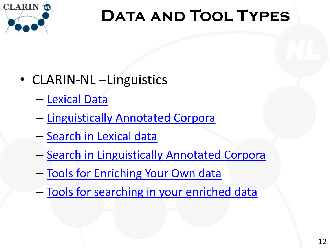

# **Data and Tool Types**

- CLARIN-NL Linguistics
	- [Lexical Data](#page-25-0)
	- [Linguistically Annotated Corpora](#page-26-0)
	- Search in Lexical data
	- Search in Linguistically Annotated Corpora
	- Tools for Enriching Your Own data
	- Tools for searching in your enriched data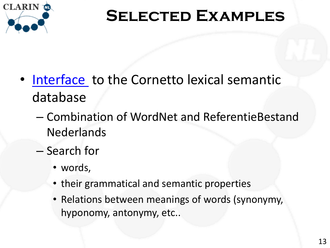

- [Interface](http://cornetto.inl.nl/cornetto/cornetto.html) to the Cornetto lexical semantic database
	- Combination of WordNet and ReferentieBestand **Nederlands**
	- Search for
		- words,
		- their grammatical and semantic properties
		- Relations between meanings of words (synonymy, hyponomy, antonymy, etc..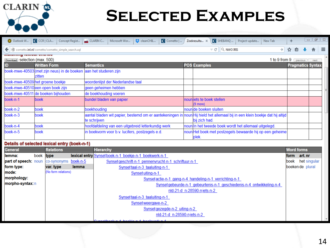

| O Outlook W                   | $\bullet$ CCR CLA<br>Concept Regist                                         | $\Box$ CLARIN C<br>CleanCHIL<br>$\mathbf C$ Cornetto $ \dots $<br>Microsoft Wor                                                             | C SHEBANQ<br>Zoekresulta X<br>Project-update<br>New Tab          | ÷                        |      |          |
|-------------------------------|-----------------------------------------------------------------------------|---------------------------------------------------------------------------------------------------------------------------------------------|------------------------------------------------------------------|--------------------------|------|----------|
|                               | ← )  © cornetto.inl.nl/cornetto/cornetto_simple_search.xql                  |                                                                                                                                             | $\triangledown$ C $\bigotimes$ NWO IRIS<br>$\rightarrow$         | ☆<br>自                   |      | $\equiv$ |
| HIWAWITHTY IWAIWMI WITHTWW    |                                                                             |                                                                                                                                             |                                                                  |                          |      |          |
| Download Selection (max. 500) |                                                                             |                                                                                                                                             |                                                                  | 1 to 9 from 9 [previous] | next |          |
| ID                            | <b>Written Form</b>                                                         | <b>Semantics</b>                                                                                                                            | <b>POS Examples</b>                                              | <b>Pragmatics Syntax</b> |      |          |
|                               | boek-mwe-40503(met zijn neus) in de boeken aan het studeren zijn<br>Izitten |                                                                                                                                             |                                                                  |                          |      |          |
|                               | boek-mwe-40509 het groene boekje                                            | woordenlijst der Nederlandse taal                                                                                                           |                                                                  |                          |      |          |
|                               | boek-mwe-40510 een open boek zijn                                           | geen geheimen hebben                                                                                                                        |                                                                  |                          |      |          |
|                               | boek-mwe-40511 de boeken bijhouden                                          | de boekhouding voeren                                                                                                                       |                                                                  |                          |      |          |
| boek-n-1                      | boek                                                                        | bundel bladen van papier                                                                                                                    | nounliets te boek stellen<br>$(9 \text{ more})$                  |                          |      |          |
| $boek-n-2$                    | lboek                                                                       | boekhouding                                                                                                                                 | nounide boeken sluiten                                           |                          |      |          |
| boek- $n-3$                   | boek                                                                        | aantal bladen wit papier, bestemd om er aantekeningen in noun Hij hield het allemaal bij in een klein boekje dat hij altijd<br>te schrijven | bij zich had.                                                    |                          |      |          |
| boek-n-4                      | boek                                                                        | hoofdafdeling van een uitgebreid letterkundig werk                                                                                          | noun in het tweede boek wordt het allemaal uitgelegd.            |                          |      |          |
| boek-n-5                      | boek                                                                        | in boekvorm voor b.v. lucifers, postzegels e.d.                                                                                             | nounHet boek met postzegels bewaarde hij op een geheime<br>plek. |                          |      |          |

#### Details of selected lexical entry (boek-n-1)

| <b>General</b>              |           | <b>Relations</b>     |       | <b>Hierarchy</b>                                                     |       | <b>Word forms</b> |
|-----------------------------|-----------|----------------------|-------|----------------------------------------------------------------------|-------|-------------------|
| llemma:                     | boek type |                      |       | lexical entry Synsetboek-n-1 boekje-n-1 boekwerk-n-1                 | form  | art.nr            |
| <b>part of speech: noun</b> |           | co-synonyms boek-n-5 |       | Synsetgeschrift-n-1 pennenvrucht-n-1 schriftuur-n-1                  | lboek | het singular      |
| form type:                  |           | var. type            | lemma | Synsettaal-n-3 taaluiting-n-1                                        |       | boeken de plural  |
| mode:                       |           | (No form relations)  |       | Synset uiting-n-1                                                    |       |                   |
| morphology:                 |           |                      |       | Synset actie-n-1 gang-n-4 handeling-n-1 verrichting-n-1              |       |                   |
| morpho-syntax: n            |           |                      |       | Synsetgebeurde-n-1 gebeurtenis-n-1 geschiedenis-n-4 ontwikkeling-n-4 |       |                   |
|                             |           |                      |       | nld-21-d n-28590-niets-n-2                                           |       |                   |
|                             |           |                      |       | Synsettaal-n-3 taaluiting-n-1                                        |       |                   |
|                             |           |                      |       | Synsetweergave-n-2                                                   |       |                   |
|                             |           |                      |       | Synsetgezegde-n-2 uiting-n-2                                         |       |                   |
|                             |           |                      |       | nld-21-d n-28590-niets-n-2                                           |       |                   |
|                             |           |                      |       | di boolde in di boolemaale in                                        |       |                   |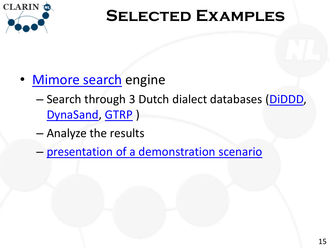

- [Mimore](http://www.meertens.knaw.nl/mimore/search/) [search](http://www.meertens.knaw.nl/mimore/search/) engine
	- Search through 3 Dutch dialect databases ([DiDDD](http://catalog.clarin.eu/vlo/search?fq=collection:Meertens+Collection:+Diversity+in+Dutch+DP+Design+(DiDDD)), [DynaSand](http://catalog.clarin.eu/vlo/search?fq=collection:Meertens+Collection:+Dynamische+Syntactische+Atlas+van+de+Nederlandse+Dialecten+(DynaSAND)), [GTRP](http://catalog.clarin.eu/vlo/search?fq=collection:Meertens+Collection:+Dynamische+Fonologische+en+Morfologische+Atlas+van+de+Nederlandse+Dialecten+(GTRP)) )
	- Analyze the results
	- [presentation of a demonstration scenario](http://www.clarin.nl/system/files/Demo-MIMORE.pptx)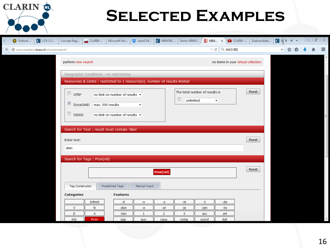| CLARIN<br>TN <sub>L</sub>                                          |                                                                                                                        | <b>SELECTED EXAMPLES</b>                                                                       |                  |                  |                                               |                      |                                     |            |   |
|--------------------------------------------------------------------|------------------------------------------------------------------------------------------------------------------------|------------------------------------------------------------------------------------------------|------------------|------------------|-----------------------------------------------|----------------------|-------------------------------------|------------|---|
| C CCR   CL<br>O Outlook<br>(2) www.meertens.knaw.nl/mimore/search/ | Concept Regi<br>CLARIN                                                                                                 | cleanCHI<br>Microsoft Wo                                                                       | C MIMORE         | Demo-MIMO        | $\parallel$ MIM $\times$<br>$\triangledown$ C | $Q$ NWO IRIS         | $\Box$ CLARIN -<br>Zoekresultate    | $C$ SH > + | ≡ |
|                                                                    | perform new search                                                                                                     |                                                                                                |                  |                  |                                               |                      | no items in your virtual collection |            |   |
|                                                                    | Geographic Conditions : no restrictions<br>Resources & Limits : restricted to 1 resource(s), number of results limited |                                                                                                |                  |                  |                                               |                      |                                     |            |   |
|                                                                    | $\Box$ GTRP<br>$\sqrt{ }$<br>DynaSAND<br>max. 500 results<br>E<br><b>DIDDD</b>                                         | no limit on number of results -<br>$\overline{\phantom{a}}$<br>no limit on number of results - |                  | ▣<br>unlimited   | The total number of results is                | $\blacktriangledown$ | Reset                               |            |   |
|                                                                    | Search for Text : result must contain 'dien'<br>Enter text:<br>dien                                                    |                                                                                                |                  |                  |                                               |                      | Reset                               |            |   |
|                                                                    | Search for Tags: Pron(rel)<br><b>Tag Constructor</b>                                                                   | Predefined Tags<br>Manual Input                                                                | Pron(rel)        |                  |                                               |                      | Reset                               |            |   |
|                                                                    | <b>Categories</b><br>Infmrk                                                                                            | <b>Features</b><br>-d<br>-n                                                                    | -S               | -st              | -t                                            | -de                  |                                     |            |   |
|                                                                    | $\mathsf{v}$<br>N<br>D<br>A<br>Adv<br>Pron                                                                             | -den<br>-e<br>-ten<br>1<br>asp<br>aux                                                          | -er<br>2<br>caus | -je<br>3<br>comp | -jen<br>acc<br>coord                          | -te<br>art<br>dat    |                                     |            |   |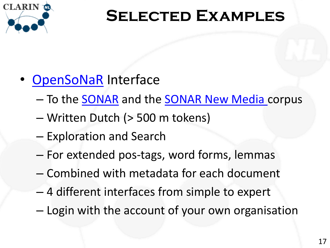

- [OpenSoNaR](http://opensonar.clarin.inl.nl/) Interface
	- To the **SONAR** and the **SONAR New Media** corpus
	- Written Dutch (> 500 m tokens)
	- Exploration and Search
	- For extended pos-tags, word forms, lemmas
	- Combined with metadata for each document
	- 4 different interfaces from simple to expert
	- Login with the account of your own organisation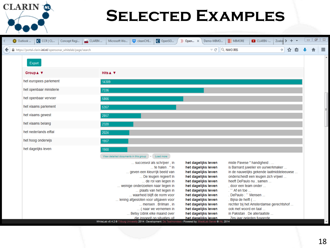| $C$ CCR CL<br>O Outlook<br>Concept Regi                       | C OpenSO<br>CLARIN<br>Microsoft Wo<br>CleanCHI                                                                                                                                                                                                                                                                                                                                                                                                                                                                             | 3 Open x<br>Demo-MIMO                                                                                                                                                                                                                                                                                   | <b>III</b> MIMORE<br>Zoekre > $+$ $-$<br>$\Box$ CLARIN -                                                                                                                                                                                                                                                                                                                                                              |     | $\Box$ $\Box$ $\Box$ |                          |
|---------------------------------------------------------------|----------------------------------------------------------------------------------------------------------------------------------------------------------------------------------------------------------------------------------------------------------------------------------------------------------------------------------------------------------------------------------------------------------------------------------------------------------------------------------------------------------------------------|---------------------------------------------------------------------------------------------------------------------------------------------------------------------------------------------------------------------------------------------------------------------------------------------------------|-----------------------------------------------------------------------------------------------------------------------------------------------------------------------------------------------------------------------------------------------------------------------------------------------------------------------------------------------------------------------------------------------------------------------|-----|----------------------|--------------------------|
| A https://portal.clarin.inl.nl/opensonar whitelab/page/search |                                                                                                                                                                                                                                                                                                                                                                                                                                                                                                                            |                                                                                                                                                                                                                                                                                                         | $\triangledown$ C $\vert$ Q NWO IRIS<br>$\rightarrow$                                                                                                                                                                                                                                                                                                                                                                 | ☆ 自 |                      | $\equiv$                 |
| Export                                                        |                                                                                                                                                                                                                                                                                                                                                                                                                                                                                                                            |                                                                                                                                                                                                                                                                                                         |                                                                                                                                                                                                                                                                                                                                                                                                                       |     |                      | $\overline{\phantom{a}}$ |
| Group▲ ▼                                                      | Hits A V                                                                                                                                                                                                                                                                                                                                                                                                                                                                                                                   |                                                                                                                                                                                                                                                                                                         |                                                                                                                                                                                                                                                                                                                                                                                                                       |     |                      |                          |
| het europees parlement                                        | 14309                                                                                                                                                                                                                                                                                                                                                                                                                                                                                                                      |                                                                                                                                                                                                                                                                                                         |                                                                                                                                                                                                                                                                                                                                                                                                                       |     |                      |                          |
| het openbaar ministerie                                       | 7336                                                                                                                                                                                                                                                                                                                                                                                                                                                                                                                       |                                                                                                                                                                                                                                                                                                         |                                                                                                                                                                                                                                                                                                                                                                                                                       |     |                      |                          |
| het openbaar vervoer                                          | 5866                                                                                                                                                                                                                                                                                                                                                                                                                                                                                                                       |                                                                                                                                                                                                                                                                                                         |                                                                                                                                                                                                                                                                                                                                                                                                                       |     |                      |                          |
| het vlaams parlement                                          | 5357                                                                                                                                                                                                                                                                                                                                                                                                                                                                                                                       |                                                                                                                                                                                                                                                                                                         |                                                                                                                                                                                                                                                                                                                                                                                                                       |     |                      |                          |
| het vlaams gewest                                             | 2857                                                                                                                                                                                                                                                                                                                                                                                                                                                                                                                       |                                                                                                                                                                                                                                                                                                         |                                                                                                                                                                                                                                                                                                                                                                                                                       |     |                      |                          |
| het vlaams belang                                             | 2320                                                                                                                                                                                                                                                                                                                                                                                                                                                                                                                       |                                                                                                                                                                                                                                                                                                         |                                                                                                                                                                                                                                                                                                                                                                                                                       |     |                      |                          |
| het nederlands elftal                                         | 2024                                                                                                                                                                                                                                                                                                                                                                                                                                                                                                                       |                                                                                                                                                                                                                                                                                                         |                                                                                                                                                                                                                                                                                                                                                                                                                       |     |                      |                          |
| het hoog onderwijs                                            | 1957                                                                                                                                                                                                                                                                                                                                                                                                                                                                                                                       |                                                                                                                                                                                                                                                                                                         |                                                                                                                                                                                                                                                                                                                                                                                                                       |     |                      |                          |
| het dagelijks leven                                           | 1900<br>View detailed documents in this group - Load more                                                                                                                                                                                                                                                                                                                                                                                                                                                                  |                                                                                                                                                                                                                                                                                                         |                                                                                                                                                                                                                                                                                                                                                                                                                       |     |                      |                          |
|                                                               | succesvol als schrijver, in<br>te halen $\mathbb{P}^n$ in<br>geven een kleurrijk beeld van<br>De leugen regeert in<br>de rol van liegen in<br>weinige onderzoeken naar liegen in<br>plaats van het liegen in<br>waarheid blijft de norm voor<br>lening afgesloten voor uitgaven voor<br>mensen . Brilman, in<br>(naar we vernemen in<br>Betsy Udink elke maand over<br>die inspeelt op situaties uit.<br>WhiteLab v0.4.2 @ Tilburg University 2014 - Development: De Taalmonsters - Powered by: BlackLab Server @ INL 2014 | het dagelijks leven<br>het dagelijks leven<br>het dagelijks leven<br>het dagelijks leven<br>het dagelijks leven<br>het dagelijks leven<br>het dagelijks leven<br>het dagelijks leven<br>het dagelijks leven<br>het dagelijks leven<br>het dagelijks leven<br>het dagelijks leven<br>het dagelijks leven | miste Pavese " handigheid<br>is Barnard juwelier en uurwerkmaker<br>in de nauwelijks gekende laatmiddeleeuwse<br>onderscheidt een leugen zich vrijwel<br>heeft DePaulo nu, samen<br>door een team onder<br>$\therefore$ Af en toe $\ldots$<br>DePaulo:" Mensen<br>. Bijna de helft (<br>rechter bij het Amsterdamse gerechtshof<br>ook met woord en taal<br>in Pakistan, De allerlaatste<br>Zes jaar geleden fuseerde |     |                      |                          |

CLARIN<sup>to</sup>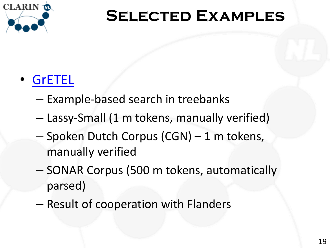

#### • [GrETEL](http://nederbooms.ccl.kuleuven.be/eng/gretel)

- Example-based search in treebanks
- Lassy-Small (1 m tokens, manually verified)
- Spoken Dutch Corpus (CGN) 1 m tokens, manually verified
- SONAR Corpus (500 m tokens, automatically parsed)
- Result of cooperation with Flanders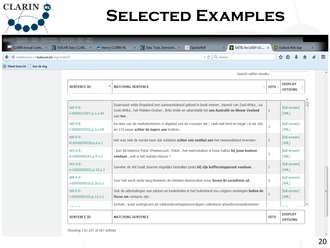

|                                                                                 | Bestand Bewerken Beeld Geschiedenis Bladwijzers Extra Help                              |                                                                                               |                                        |                                            |         |  |            |  |
|---------------------------------------------------------------------------------|-----------------------------------------------------------------------------------------|-----------------------------------------------------------------------------------------------|----------------------------------------|--------------------------------------------|---------|--|------------|--|
|                                                                                 | <b>A</b> CLARIN Annual Confe X <b>C</b> DUELME Data   CLARI X <b>C</b> Home   CLARIN-NL | $\mathbb{R} \times \mathbb{C}$ Data, Tools, Demonstr $\mathbb{R} \times \mathbb{C}$ OpenSoNaR |                                        | X GrETEL for LASSY (v1 X C Outlook Web App |         |  | <b>X +</b> |  |
| $\left(\blacklozenge\right)$ (@ nederbooms.ccl. <b>kuleuven.be</b> /eng/node/52 |                                                                                         |                                                                                               | $\triangledown$ C' $\bigotimes$ Zoeken |                                            | ☆自→ 俞 < |  |            |  |
| $\mathbb{P}$ Meest bezocht $\Box$ Aan de slag                                   |                                                                                         |                                                                                               |                                        |                                            |         |  |            |  |

Search within results:

| <b>SENTENCE ID</b>                 | <b>MATCHING SENTENCE</b>                                                                                                                                                                                     | <b>HITS</b> | <b>DISPLAY</b><br><b>OPTIONS</b>           |  |
|------------------------------------|--------------------------------------------------------------------------------------------------------------------------------------------------------------------------------------------------------------|-------------|--------------------------------------------|--|
|                                    |                                                                                                                                                                                                              |             |                                            |  |
| WR-P-E-<br>I-0000015007.p.1.s.40   | Daarnaast wilde Engeland een aaneensluitend gebied in bezit nemen, lopend van Zuid-Afrika, via<br>Oost-Afrika, het Midden-Oosten, Brits-Indië en uiteindelijk tot aan Australië en Nieuw-Zeeland<br>aan toe. | 1           | [full screen]<br>[XML]                     |  |
| WR-P-F-<br>I-0000039352.p.3.s.69   | De idee van de marketentsters is afgeleid van de vrouwen die (vaak met kind en kegel) in de 16e<br>en 17e eeuw achter de legers aan trokken.                                                                 | 1           | [full screen]<br>[XML]                     |  |
| WR-P-P-<br>H-0000000028.p.6.s.1    | Het was niet de eerste keer dat soldaten achter een voetbal aan het niemandsland inrenden.                                                                                                                   | 1           | [full screen]<br>[XML]                     |  |
| WS-U-E-<br>A-0000000241.p.9.s.5    | - Aan de telefoon Peter d'Hamecourt, Peter, het metrostation is twee haltes bij jouw kantoor<br>vandaan, wat is het laatste nieuws?                                                                          | 1           | [full screen]<br>[XML]                     |  |
| $WS-U-E-$<br>A-0000000032.p.10.s.3 | Juwelier de Wit haalt daarom dagelijks tientallen junks bij zijn koffiezetapparaat vandaan.                                                                                                                  |             | [full screen]<br>[XML]                     |  |
| $WR-P-P-$<br>I-0000000033.p.20.s.2 | Voor het eerst sinds lang klommen de christen-democraten weer boven de socialisten uit.                                                                                                                      | 1           | [full screen]<br>[XML]                     |  |
| $WR-P-P-$<br>I-0000000183.p.12.s.1 | Ook de uitbetalingen aan piloten en kaderleden in het buitenland zou volgens sommigen buiten de<br>fiscus om verlopen zijn.                                                                                  | 1           | [full screen]<br><b>TXML1</b>              |  |
|                                    | Kortom, waar werkgevers en vakbondsvertegenwoordigers collectieve arbeidsovereenkomsten                                                                                                                      |             | $\mathbf{r} \cdot \mathbf{r} = \mathbf{0}$ |  |
| <b>SENTENCE ID</b>                 | <b>MATCHING SENTENCE</b>                                                                                                                                                                                     | <b>HITS</b> | <b>DISPLAY</b><br><b>OPTIONS</b>           |  |

Showing 1 to 267 of 267 entries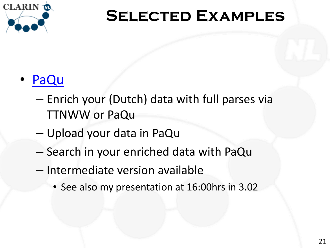

#### • [PaQu](http://zardoz.service.rug.nl:8067/)

- Enrich your (Dutch) data with full parses via TTNWW or PaQu
- Upload your data in PaQu
- Search in your enriched data with PaQu
- Intermediate version available
	- See also my presentation at 16:00hrs in 3.02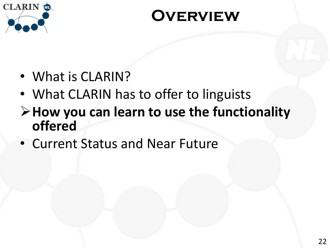

#### **Overview**

- What is CLARIN?
- What CLARIN has to offer to linguists
- **How you can learn to use the functionality offered**
- Current Status and Near Future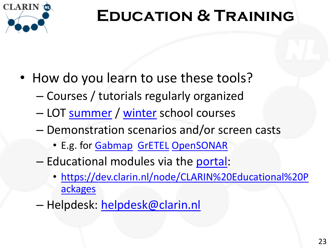

# **Education & Training**

- How do you learn to use these tools?
	- Courses / tutorials regularly organized
	- LOT [summer](http://www.clarin.nl/node/2016) / [winter](http://www.clarin.nl/node/2044) school courses
	- Demonstration scenarios and/or screen casts
		- E.g. for [Gabmap](http://www.gabmap.nl/?page_id=216) [GrETEL](http://nederbooms.ccl.kuleuven.be/eng/docgretel) [OpenSONAR](http://opensonar.inl.nl/)
	- Educational modules via the [portal](http://dev.clarin.nl/node/CLARIN Educational Packages):
		- [https://dev.clarin.nl/node/CLARIN%20Educational%20P](https://dev.clarin.nl/node/CLARIN Educational Packages) [ackages](https://dev.clarin.nl/node/CLARIN Educational Packages)
	- Helpdesk: [helpdesk@clarin.nl](mailto:helpdesk@clarin.nl)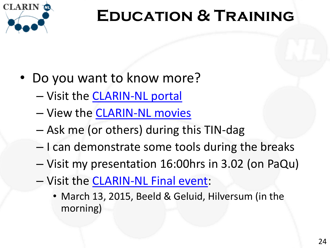

# **Education & Training**

- Do you want to know more?
	- Visit the [CLARIN-NL portal](http://portal.clarin.nl/)
	- View the [CLARIN-NL movies](http://www.clarin.nl/node/403)
	- Ask me (or others) during this TIN-dag
	- I can demonstrate some tools during the breaks
	- Visit my presentation 16:00hrs in 3.02 (on PaQu)
	- Visit the [CLARIN-NL Final event:](http://www.clarin.nl/node/2074)
		- March 13, 2015, Beeld & Geluid, Hilversum (in the morning)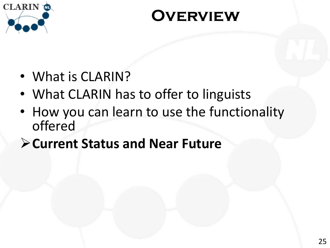

#### **Overview**

- What is CLARIN?
- What CLARIN has to offer to linguists
- How you can learn to use the functionality offered
- **Current Status and Near Future**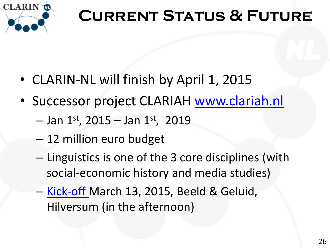

## **Current Status & Future**

- CLARIN-NL will finish by April 1, 2015
- <span id="page-25-0"></span>• Successor project CLARIAH [www.clariah.nl](http://www.clariah.nl/)
	- $-$  Jan 1st, 2015 Jan 1st, 2019
	- 12 million euro budget
	- Linguistics is one of the 3 core disciplines (with social-economic history and media studies)
	- [Kick-off M](http://www.clariah.nl/clariah-kick-off)arch 13, 2015, Beeld & Geluid, Hilversum (in the afternoon)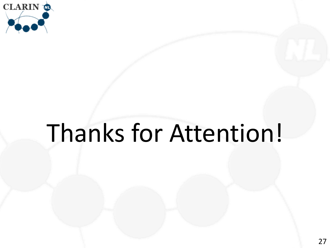

# <span id="page-26-0"></span>Thanks for Attention!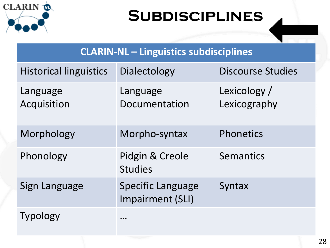

#### **Subdisciplines**

#### **CLARIN-NL – Linguistics subdisciplines**

<span id="page-27-0"></span>

| <b>Historical linguistics</b> | Dialectology                                 | <b>Discourse Studies</b>     |
|-------------------------------|----------------------------------------------|------------------------------|
| Language<br>Acquisition       | Language<br>Documentation                    | Lexicology /<br>Lexicography |
| Morphology                    | Morpho-syntax                                | Phonetics                    |
| Phonology                     | Pidgin & Creole<br><b>Studies</b>            | <b>Semantics</b>             |
| Sign Language                 | <b>Specific Language</b><br>Impairment (SLI) | Syntax                       |
| <b>Typology</b>               | $\cdots$                                     |                              |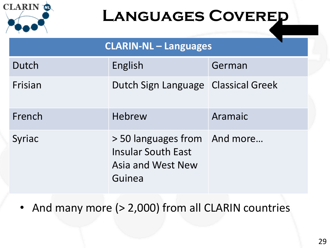

#### **LANGUAGES COVERED**

| <b>CLARIN-NL - Languages</b> |                                                                                                 |         |  |  |  |
|------------------------------|-------------------------------------------------------------------------------------------------|---------|--|--|--|
| Dutch                        | English                                                                                         | German  |  |  |  |
| Frisian                      | Dutch Sign Language Classical Greek                                                             |         |  |  |  |
| French                       | Hebrew                                                                                          | Aramaic |  |  |  |
| Syriac                       | > 50 languages from And more<br><b>Insular South East</b><br><b>Asia and West New</b><br>Guinea |         |  |  |  |

<span id="page-28-0"></span>• And many more (> 2,000) from all CLARIN countries